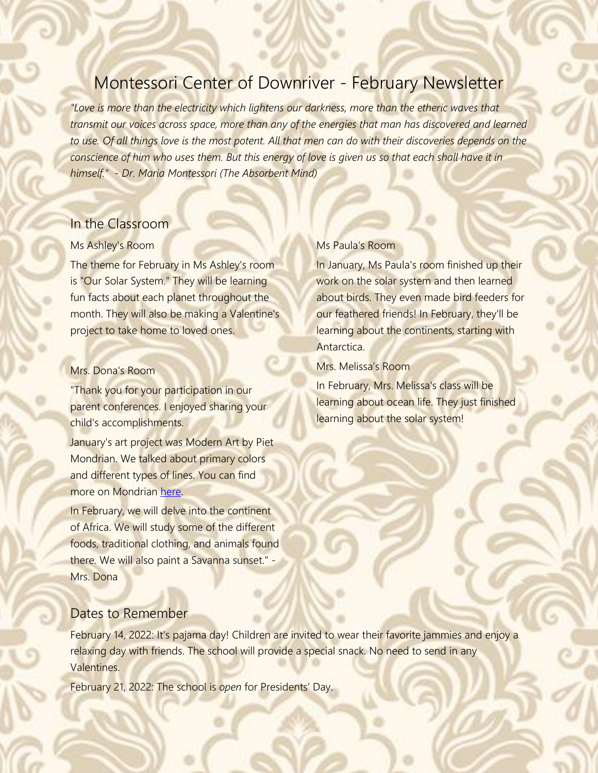# Montessori Center of Downriver - February Newsletter

*"Love is more than the electricity which lightens our darkness, more than the etheric waves that transmit our voices across space, more than any of the energies that man has discovered and learned to use. Of all things love is the most potent. All that men can do with their discoveries depends on the conscience of him who uses them. But this energy of love is given us so that each shall have it in himself." - Dr. Maria Montessori (The Absorbent Mind)*

### In the Classroom

#### Ms Ashley's Room

The theme for February in Ms Ashley's room is "Our Solar System." They will be learning fun facts about each planet throughout the month. They will also be making a Valentine's project to take home to loved ones.

#### Mrs. Dona's Room

"Thank you for your participation in our parent conferences. I enjoyed sharing your child's accomplishments.

January's art project was Modern Art by Piet Mondrian. We talked about primary colors and different types of lines. You can find more on Mondrian [here.](https://www.youtube.com/watch?v=zIMzAIKIKDc)

In February, we will delve into the continent of Africa. We will study some of the different foods, traditional clothing, and animals found there. We will also paint a Savanna sunset." - Mrs. Dona

# Ms Paula's Room

In January, Ms Paula's room finished up their work on the solar system and then learned about birds. They even made bird feeders for our feathered friends! In February, they'll be learning about the continents, starting with Antarctica.

Mrs. Melissa's Room

In February, Mrs. Melissa's class will be learning about ocean life. They just finished learning about the solar system!

### Dates to Remember

February 14, 2022: It's pajama day! Children are invited to wear their favorite jammies and enjoy a relaxing day with friends. The school will provide a special snack. No need to send in any Valentines.

February 21, 2022: The school is *open* for Presidents' Day.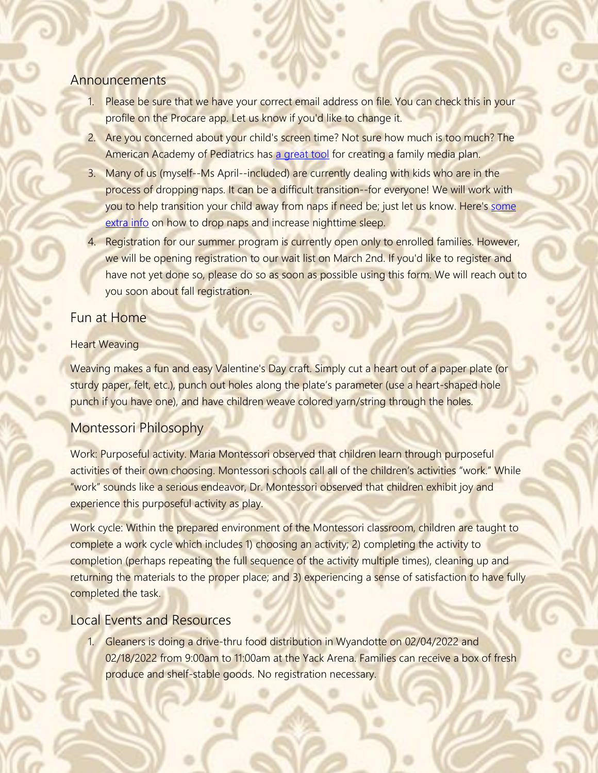# **Announcements**

- 1. Please be sure that we have your correct email address on file. You can check this in your profile on the Procare app. Let us know if you'd like to change it.
- 2. Are you concerned about your child's screen time? Not sure how much is too much? The American Academy of Pediatrics has [a great tool](https://www.healthychildren.org/English/media/Pages/default.aspx#home) for creating a family media plan.
- 3. Many of us (myself--Ms April--included) are currently dealing with kids who are in the process of dropping naps. It can be a difficult transition--for everyone! We will work with you to help transition your child away from naps if need be; just let us know. Here's some [extra info](https://www.sleepfoundation.org/children-and-sleep/when-do-kids-stop-napping) on how to drop naps and increase nighttime sleep.
- 4. Registration for our summer program is currently open only to enrolled families. However, we will be opening registration to our wait list on March 2nd. If you'd like to register and have not yet done so, please do so as soon as possible using this form. We will reach out to you soon about fall registration.

# Fun at Home

### Heart Weaving

Weaving makes a fun and easy Valentine's Day craft. Simply cut a heart out of a paper plate (or sturdy paper, felt, etc.), punch out holes along the plate's parameter (use a heart-shaped hole punch if you have one), and have children weave colored yarn/string through the holes.

# Montessori Philosophy

Work: Purposeful activity. Maria Montessori observed that children learn through purposeful activities of their own choosing. Montessori schools call all of the children's activities "work." While "work" sounds like a serious endeavor, Dr. Montessori observed that children exhibit joy and experience this purposeful activity as play.

Work cycle: Within the prepared environment of the Montessori classroom, children are taught to complete a work cycle which includes 1) choosing an activity; 2) completing the activity to completion (perhaps repeating the full sequence of the activity multiple times), cleaning up and returning the materials to the proper place; and 3) experiencing a sense of satisfaction to have fully completed the task.

# Local Events and Resources

1. Gleaners is doing a drive-thru food distribution in Wyandotte on 02/04/2022 and 02/18/2022 from 9:00am to 11:00am at the Yack Arena. Families can receive a box of fresh produce and shelf-stable goods. No registration necessary.